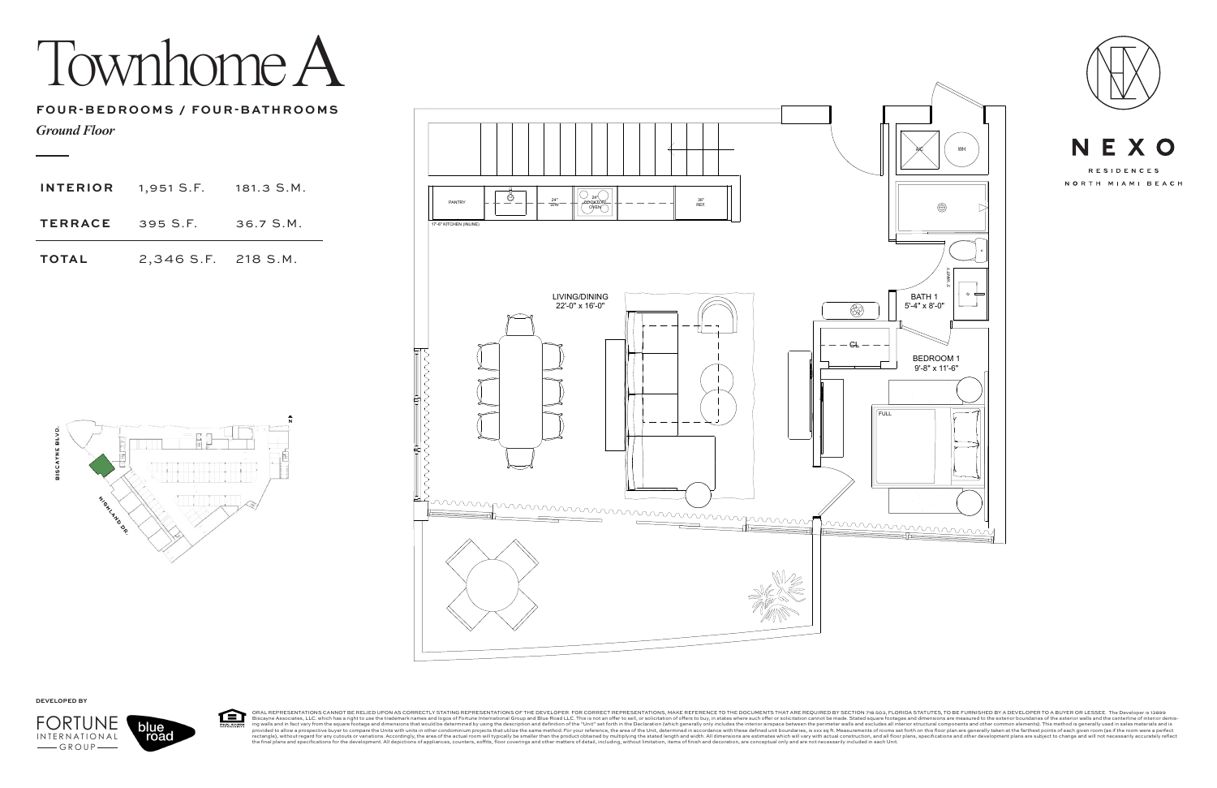Townhome A





.<br>ORAL REPRESENTATIONS CANNOT BE RELIED UPON AS CORRECTLY STATING REPRESENTATIONS OF THE DEVELOPER. FOR CORRECT REPRESENTATIONS, MAKE REFERENCE TO THE DOCUMENTS THAT ARE REQUIRED BY SECTION 718.503, FLORIDA STATUTES, TO BE 臼 RECTLY STATING H<br>mes and logos of Fo Bisqueme and infast a relative these aright to use the trademark names and logos of Fortune International Group will typically be same from the signes of the externation of the tradition of the description and Bismath endi





**DEVELOPED BY**



*Ground Floor*

## **FOUR-BEDROOMS / FOUR-BATHROOMS**

| TOTAL | 2,346 S.F. 218 S.M.                   |  |
|-------|---------------------------------------|--|
|       | <b>TERRACE</b> 395 S.F. 36.7 S.M.     |  |
|       | <b>INTERIOR</b> 1,951 S.F. 181.3 S.M. |  |